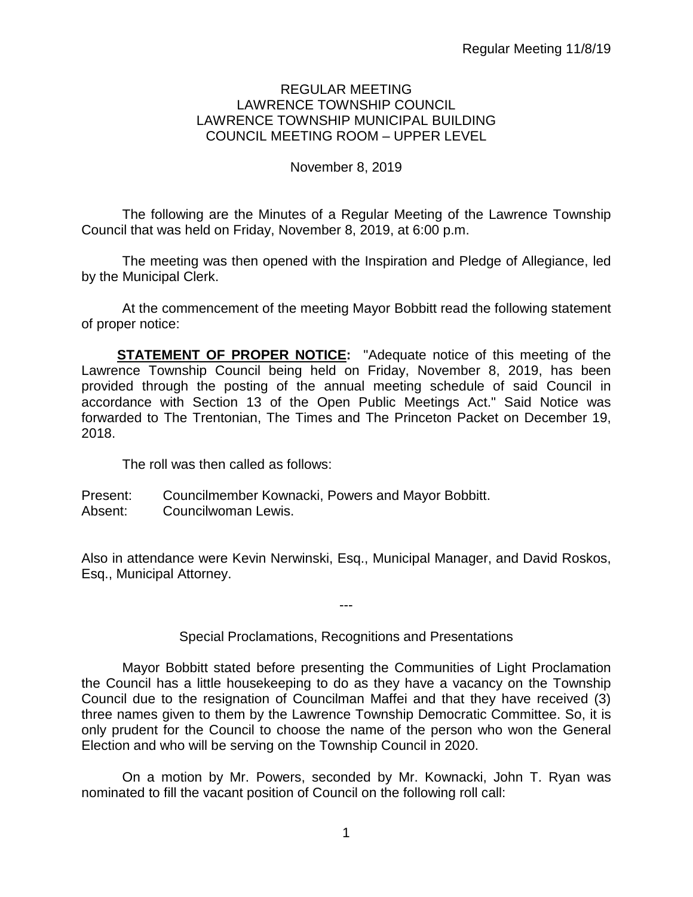#### REGULAR MEETING LAWRENCE TOWNSHIP COUNCIL LAWRENCE TOWNSHIP MUNICIPAL BUILDING COUNCIL MEETING ROOM – UPPER LEVEL

# November 8, 2019

The following are the Minutes of a Regular Meeting of the Lawrence Township Council that was held on Friday, November 8, 2019, at 6:00 p.m.

The meeting was then opened with the Inspiration and Pledge of Allegiance, led by the Municipal Clerk.

At the commencement of the meeting Mayor Bobbitt read the following statement of proper notice:

**STATEMENT OF PROPER NOTICE:** "Adequate notice of this meeting of the Lawrence Township Council being held on Friday, November 8, 2019, has been provided through the posting of the annual meeting schedule of said Council in accordance with Section 13 of the Open Public Meetings Act." Said Notice was forwarded to The Trentonian, The Times and The Princeton Packet on December 19, 2018.

The roll was then called as follows:

Present: Councilmember Kownacki, Powers and Mayor Bobbitt. Absent: Councilwoman Lewis.

Also in attendance were Kevin Nerwinski, Esq., Municipal Manager, and David Roskos, Esq., Municipal Attorney.

Special Proclamations, Recognitions and Presentations

---

Mayor Bobbitt stated before presenting the Communities of Light Proclamation the Council has a little housekeeping to do as they have a vacancy on the Township Council due to the resignation of Councilman Maffei and that they have received (3) three names given to them by the Lawrence Township Democratic Committee. So, it is only prudent for the Council to choose the name of the person who won the General Election and who will be serving on the Township Council in 2020.

On a motion by Mr. Powers, seconded by Mr. Kownacki, John T. Ryan was nominated to fill the vacant position of Council on the following roll call: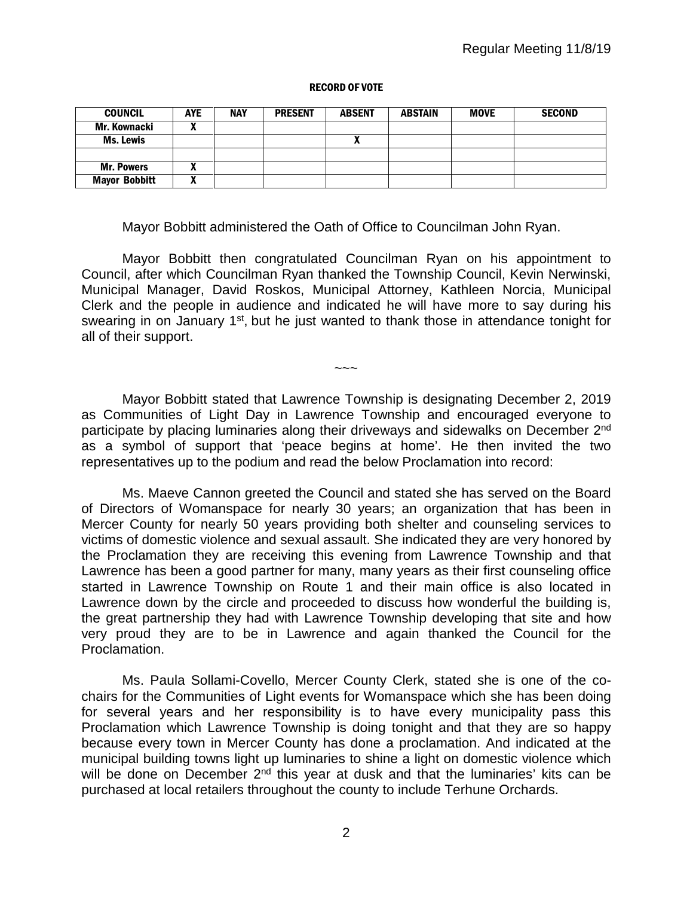#### RECORD OF VOTE

| <b>COUNCIL</b>       | <b>AYE</b>        | <b>NAY</b> | <b>PRESENT</b> | <b>ABSENT</b> | <b>ABSTAIN</b> | <b>MOVE</b> | <b>SECOND</b> |
|----------------------|-------------------|------------|----------------|---------------|----------------|-------------|---------------|
| Mr. Kownacki         | n                 |            |                |               |                |             |               |
| Ms. Lewis            |                   |            |                |               |                |             |               |
|                      |                   |            |                |               |                |             |               |
| <b>Mr. Powers</b>    |                   |            |                |               |                |             |               |
| <b>Mayor Bobbitt</b> | $\mathbf{u}$<br>n |            |                |               |                |             |               |

Mayor Bobbitt administered the Oath of Office to Councilman John Ryan.

Mayor Bobbitt then congratulated Councilman Ryan on his appointment to Council, after which Councilman Ryan thanked the Township Council, Kevin Nerwinski, Municipal Manager, David Roskos, Municipal Attorney, Kathleen Norcia, Municipal Clerk and the people in audience and indicated he will have more to say during his swearing in on January 1<sup>st</sup>, but he just wanted to thank those in attendance tonight for all of their support.

Mayor Bobbitt stated that Lawrence Township is designating December 2, 2019 as Communities of Light Day in Lawrence Township and encouraged everyone to participate by placing luminaries along their driveways and sidewalks on December 2<sup>nd</sup> as a symbol of support that 'peace begins at home'. He then invited the two representatives up to the podium and read the below Proclamation into record:

 $\sim\sim\sim$ 

Ms. Maeve Cannon greeted the Council and stated she has served on the Board of Directors of Womanspace for nearly 30 years; an organization that has been in Mercer County for nearly 50 years providing both shelter and counseling services to victims of domestic violence and sexual assault. She indicated they are very honored by the Proclamation they are receiving this evening from Lawrence Township and that Lawrence has been a good partner for many, many years as their first counseling office started in Lawrence Township on Route 1 and their main office is also located in Lawrence down by the circle and proceeded to discuss how wonderful the building is, the great partnership they had with Lawrence Township developing that site and how very proud they are to be in Lawrence and again thanked the Council for the Proclamation.

Ms. Paula Sollami-Covello, Mercer County Clerk, stated she is one of the cochairs for the Communities of Light events for Womanspace which she has been doing for several years and her responsibility is to have every municipality pass this Proclamation which Lawrence Township is doing tonight and that they are so happy because every town in Mercer County has done a proclamation. And indicated at the municipal building towns light up luminaries to shine a light on domestic violence which will be done on December  $2<sup>nd</sup>$  this year at dusk and that the luminaries' kits can be purchased at local retailers throughout the county to include Terhune Orchards.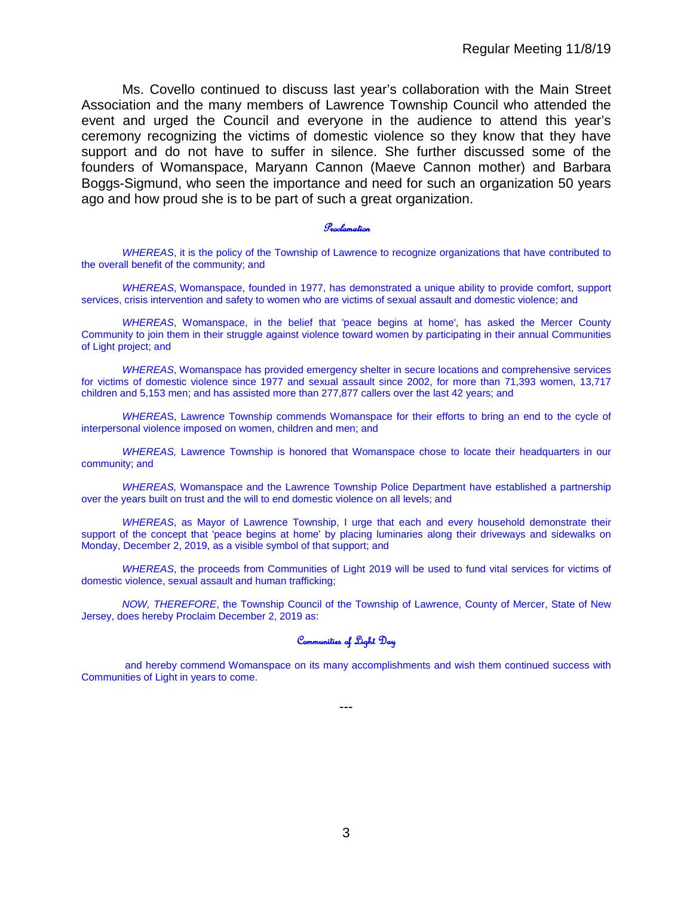Ms. Covello continued to discuss last year's collaboration with the Main Street Association and the many members of Lawrence Township Council who attended the event and urged the Council and everyone in the audience to attend this year's ceremony recognizing the victims of domestic violence so they know that they have support and do not have to suffer in silence. She further discussed some of the founders of Womanspace, Maryann Cannon (Maeve Cannon mother) and Barbara Boggs-Sigmund, who seen the importance and need for such an organization 50 years ago and how proud she is to be part of such a great organization.

#### Proclamation

*WHEREAS*, it is the policy of the Township of Lawrence to recognize organizations that have contributed to the overall benefit of the community; and

*WHEREAS*, Womanspace, founded in 1977, has demonstrated a unique ability to provide comfort, support services, crisis intervention and safety to women who are victims of sexual assault and domestic violence; and

*WHEREAS*, Womanspace, in the belief that 'peace begins at home', has asked the Mercer County Community to join them in their struggle against violence toward women by participating in their annual Communities of Light project; and

*WHEREAS*, Womanspace has provided emergency shelter in secure locations and comprehensive services for victims of domestic violence since 1977 and sexual assault since 2002, for more than 71,393 women, 13,717 children and 5,153 men; and has assisted more than 277,877 callers over the last 42 years; and

*WHEREA*S, Lawrence Township commends Womanspace for their efforts to bring an end to the cycle of interpersonal violence imposed on women, children and men; and

*WHEREAS,* Lawrence Township is honored that Womanspace chose to locate their headquarters in our community; and

*WHEREAS,* Womanspace and the Lawrence Township Police Department have established a partnership over the years built on trust and the will to end domestic violence on all levels; and

*WHEREAS*, as Mayor of Lawrence Township, I urge that each and every household demonstrate their support of the concept that 'peace begins at home' by placing luminaries along their driveways and sidewalks on Monday, December 2, 2019, as a visible symbol of that support; and

*WHEREAS*, the proceeds from Communities of Light 2019 will be used to fund vital services for victims of domestic violence, sexual assault and human trafficking;

*NOW, THEREFORE*, the Township Council of the Township of Lawrence, County of Mercer, State of New Jersey, does hereby Proclaim December 2, 2019 as:

#### Communities of Light Day

and hereby commend Womanspace on its many accomplishments and wish them continued success with Communities of Light in years to come.

---

3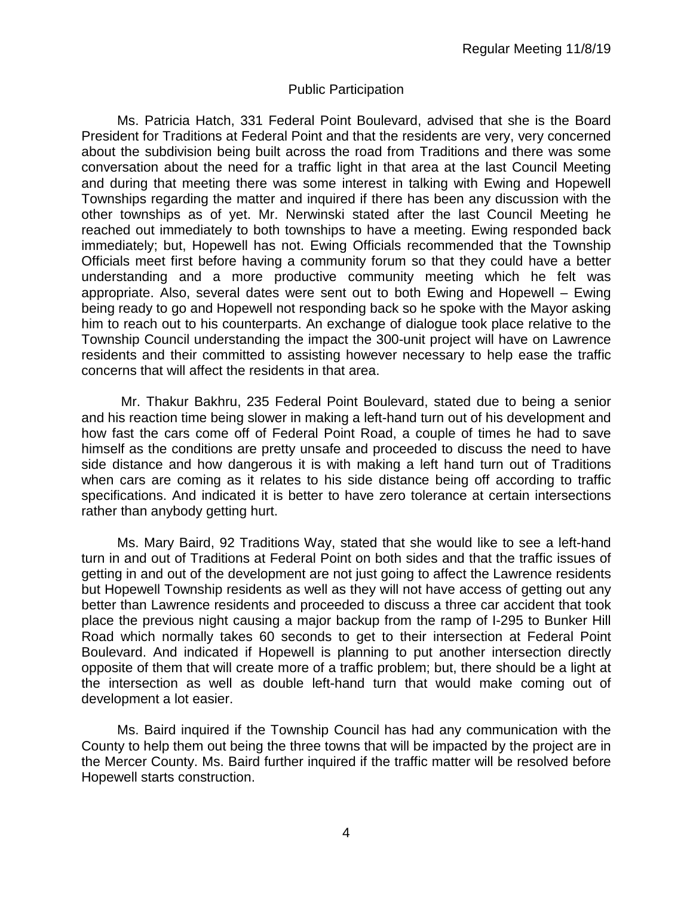#### Public Participation

Ms. Patricia Hatch, 331 Federal Point Boulevard, advised that she is the Board President for Traditions at Federal Point and that the residents are very, very concerned about the subdivision being built across the road from Traditions and there was some conversation about the need for a traffic light in that area at the last Council Meeting and during that meeting there was some interest in talking with Ewing and Hopewell Townships regarding the matter and inquired if there has been any discussion with the other townships as of yet. Mr. Nerwinski stated after the last Council Meeting he reached out immediately to both townships to have a meeting. Ewing responded back immediately; but, Hopewell has not. Ewing Officials recommended that the Township Officials meet first before having a community forum so that they could have a better understanding and a more productive community meeting which he felt was appropriate. Also, several dates were sent out to both Ewing and Hopewell – Ewing being ready to go and Hopewell not responding back so he spoke with the Mayor asking him to reach out to his counterparts. An exchange of dialogue took place relative to the Township Council understanding the impact the 300-unit project will have on Lawrence residents and their committed to assisting however necessary to help ease the traffic concerns that will affect the residents in that area.

Mr. Thakur Bakhru, 235 Federal Point Boulevard, stated due to being a senior and his reaction time being slower in making a left-hand turn out of his development and how fast the cars come off of Federal Point Road, a couple of times he had to save himself as the conditions are pretty unsafe and proceeded to discuss the need to have side distance and how dangerous it is with making a left hand turn out of Traditions when cars are coming as it relates to his side distance being off according to traffic specifications. And indicated it is better to have zero tolerance at certain intersections rather than anybody getting hurt.

Ms. Mary Baird, 92 Traditions Way, stated that she would like to see a left-hand turn in and out of Traditions at Federal Point on both sides and that the traffic issues of getting in and out of the development are not just going to affect the Lawrence residents but Hopewell Township residents as well as they will not have access of getting out any better than Lawrence residents and proceeded to discuss a three car accident that took place the previous night causing a major backup from the ramp of I-295 to Bunker Hill Road which normally takes 60 seconds to get to their intersection at Federal Point Boulevard. And indicated if Hopewell is planning to put another intersection directly opposite of them that will create more of a traffic problem; but, there should be a light at the intersection as well as double left-hand turn that would make coming out of development a lot easier.

Ms. Baird inquired if the Township Council has had any communication with the County to help them out being the three towns that will be impacted by the project are in the Mercer County. Ms. Baird further inquired if the traffic matter will be resolved before Hopewell starts construction.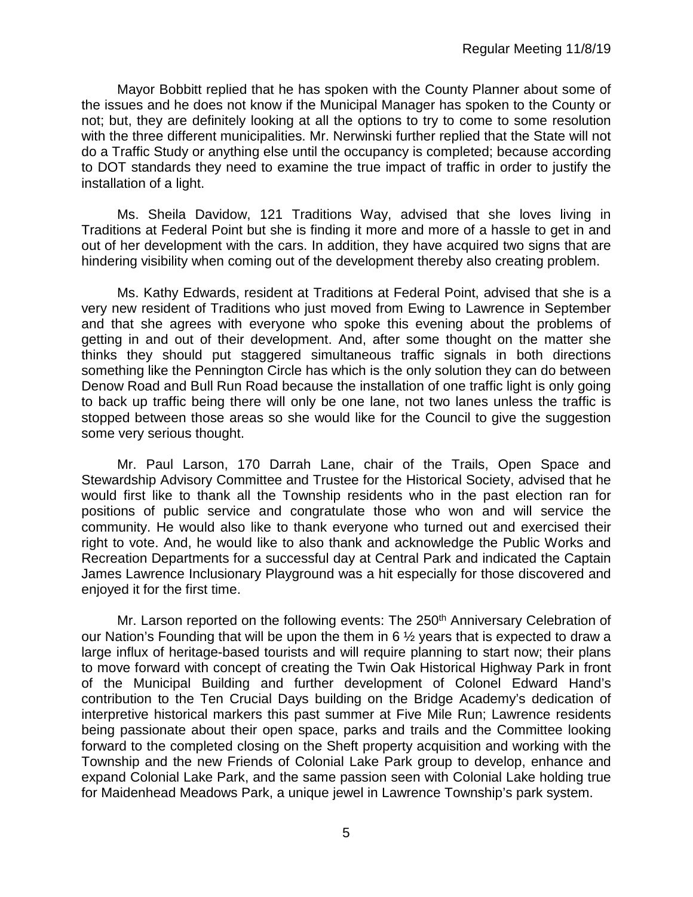Mayor Bobbitt replied that he has spoken with the County Planner about some of the issues and he does not know if the Municipal Manager has spoken to the County or not; but, they are definitely looking at all the options to try to come to some resolution with the three different municipalities. Mr. Nerwinski further replied that the State will not do a Traffic Study or anything else until the occupancy is completed; because according to DOT standards they need to examine the true impact of traffic in order to justify the installation of a light.

Ms. Sheila Davidow, 121 Traditions Way, advised that she loves living in Traditions at Federal Point but she is finding it more and more of a hassle to get in and out of her development with the cars. In addition, they have acquired two signs that are hindering visibility when coming out of the development thereby also creating problem.

Ms. Kathy Edwards, resident at Traditions at Federal Point, advised that she is a very new resident of Traditions who just moved from Ewing to Lawrence in September and that she agrees with everyone who spoke this evening about the problems of getting in and out of their development. And, after some thought on the matter she thinks they should put staggered simultaneous traffic signals in both directions something like the Pennington Circle has which is the only solution they can do between Denow Road and Bull Run Road because the installation of one traffic light is only going to back up traffic being there will only be one lane, not two lanes unless the traffic is stopped between those areas so she would like for the Council to give the suggestion some very serious thought.

Mr. Paul Larson, 170 Darrah Lane, chair of the Trails, Open Space and Stewardship Advisory Committee and Trustee for the Historical Society, advised that he would first like to thank all the Township residents who in the past election ran for positions of public service and congratulate those who won and will service the community. He would also like to thank everyone who turned out and exercised their right to vote. And, he would like to also thank and acknowledge the Public Works and Recreation Departments for a successful day at Central Park and indicated the Captain James Lawrence Inclusionary Playground was a hit especially for those discovered and enjoyed it for the first time.

Mr. Larson reported on the following events: The 250<sup>th</sup> Anniversary Celebration of our Nation's Founding that will be upon the them in 6 ½ years that is expected to draw a large influx of heritage-based tourists and will require planning to start now; their plans to move forward with concept of creating the Twin Oak Historical Highway Park in front of the Municipal Building and further development of Colonel Edward Hand's contribution to the Ten Crucial Days building on the Bridge Academy's dedication of interpretive historical markers this past summer at Five Mile Run; Lawrence residents being passionate about their open space, parks and trails and the Committee looking forward to the completed closing on the Sheft property acquisition and working with the Township and the new Friends of Colonial Lake Park group to develop, enhance and expand Colonial Lake Park, and the same passion seen with Colonial Lake holding true for Maidenhead Meadows Park, a unique jewel in Lawrence Township's park system.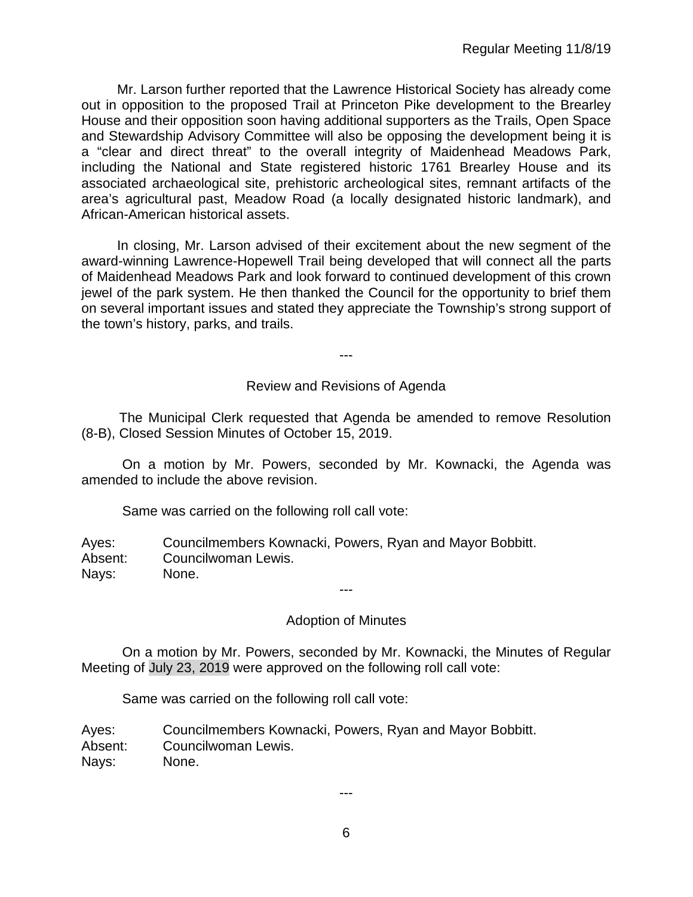Mr. Larson further reported that the Lawrence Historical Society has already come out in opposition to the proposed Trail at Princeton Pike development to the Brearley House and their opposition soon having additional supporters as the Trails, Open Space and Stewardship Advisory Committee will also be opposing the development being it is a "clear and direct threat" to the overall integrity of Maidenhead Meadows Park, including the National and State registered historic 1761 Brearley House and its associated archaeological site, prehistoric archeological sites, remnant artifacts of the area's agricultural past, Meadow Road (a locally designated historic landmark), and African-American historical assets.

In closing, Mr. Larson advised of their excitement about the new segment of the award-winning Lawrence-Hopewell Trail being developed that will connect all the parts of Maidenhead Meadows Park and look forward to continued development of this crown jewel of the park system. He then thanked the Council for the opportunity to brief them on several important issues and stated they appreciate the Township's strong support of the town's history, parks, and trails.

---

#### Review and Revisions of Agenda

 The Municipal Clerk requested that Agenda be amended to remove Resolution (8-B), Closed Session Minutes of October 15, 2019.

On a motion by Mr. Powers, seconded by Mr. Kownacki, the Agenda was amended to include the above revision.

Same was carried on the following roll call vote:

Ayes: Councilmembers Kownacki, Powers, Ryan and Mayor Bobbitt. Absent: Councilwoman Lewis. Nays: None.

# Adoption of Minutes

---

On a motion by Mr. Powers, seconded by Mr. Kownacki, the Minutes of Regular Meeting of July 23, 2019 were approved on the following roll call vote:

Same was carried on the following roll call vote:

Ayes: Councilmembers Kownacki, Powers, Ryan and Mayor Bobbitt. Absent: Councilwoman Lewis. Nays: None.

---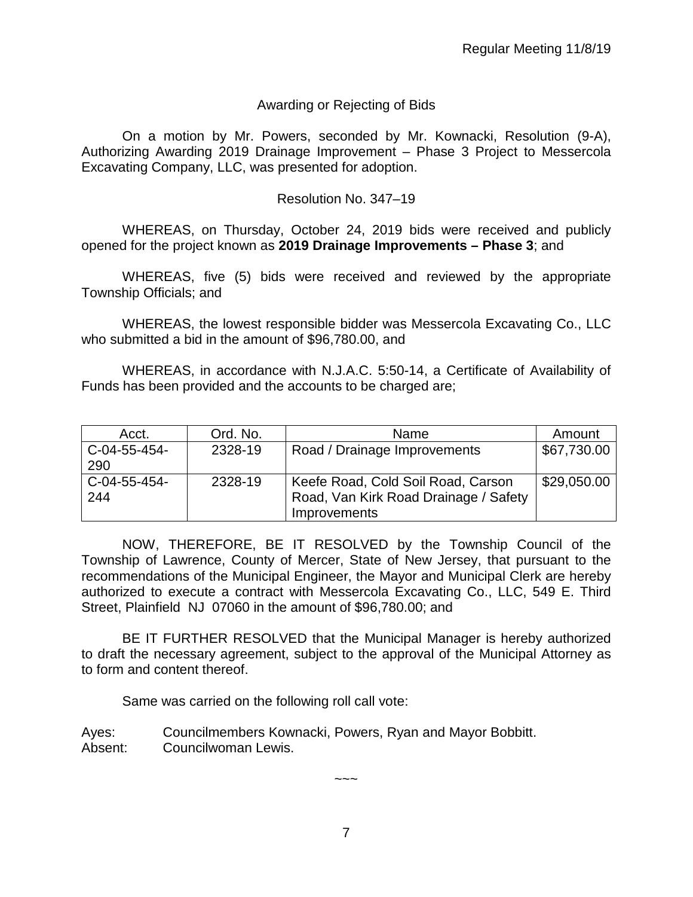# Awarding or Rejecting of Bids

On a motion by Mr. Powers, seconded by Mr. Kownacki, Resolution (9-A), Authorizing Awarding 2019 Drainage Improvement – Phase 3 Project to Messercola Excavating Company, LLC, was presented for adoption.

#### Resolution No. 347–19

WHEREAS, on Thursday, October 24, 2019 bids were received and publicly opened for the project known as **2019 Drainage Improvements – Phase 3**; and

WHEREAS, five (5) bids were received and reviewed by the appropriate Township Officials; and

WHEREAS, the lowest responsible bidder was Messercola Excavating Co., LLC who submitted a bid in the amount of \$96,780.00, and

WHEREAS, in accordance with N.J.A.C. 5:50-14, a Certificate of Availability of Funds has been provided and the accounts to be charged are;

| Acct.        | Ord. No. | Name                                  | Amount      |
|--------------|----------|---------------------------------------|-------------|
| C-04-55-454- | 2328-19  | Road / Drainage Improvements          | \$67,730.00 |
| 290          |          |                                       |             |
| C-04-55-454- | 2328-19  | Keefe Road, Cold Soil Road, Carson    | \$29,050.00 |
| 244          |          | Road, Van Kirk Road Drainage / Safety |             |
|              |          | <b>Improvements</b>                   |             |

NOW, THEREFORE, BE IT RESOLVED by the Township Council of the Township of Lawrence, County of Mercer, State of New Jersey, that pursuant to the recommendations of the Municipal Engineer, the Mayor and Municipal Clerk are hereby authorized to execute a contract with Messercola Excavating Co., LLC, 549 E. Third Street, Plainfield NJ 07060 in the amount of \$96,780.00; and

BE IT FURTHER RESOLVED that the Municipal Manager is hereby authorized to draft the necessary agreement, subject to the approval of the Municipal Attorney as to form and content thereof.

Same was carried on the following roll call vote:

Ayes: Councilmembers Kownacki, Powers, Ryan and Mayor Bobbitt. Absent: Councilwoman Lewis.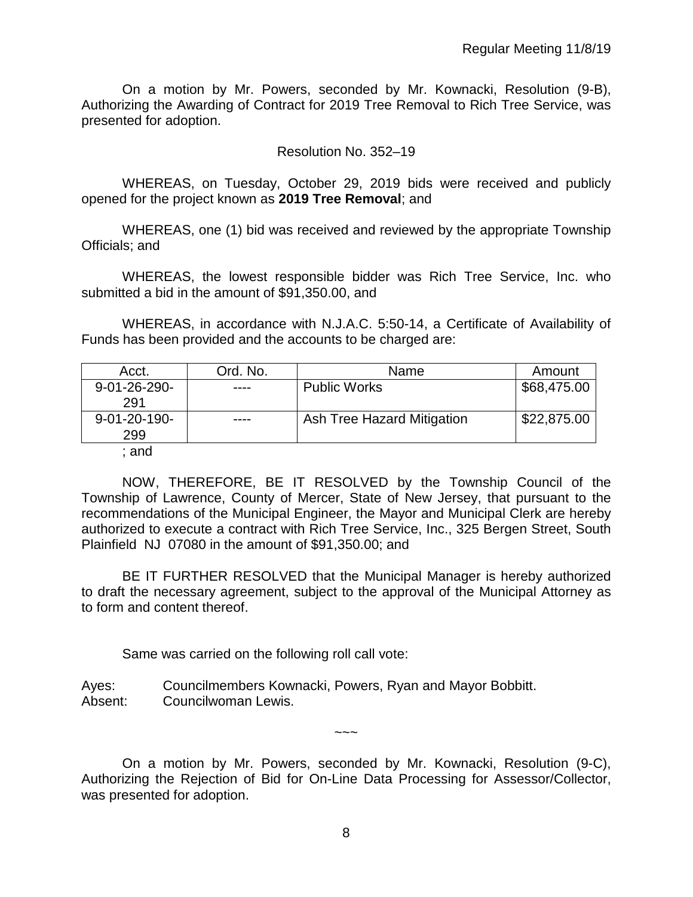On a motion by Mr. Powers, seconded by Mr. Kownacki, Resolution (9-B), Authorizing the Awarding of Contract for 2019 Tree Removal to Rich Tree Service, was presented for adoption.

#### Resolution No. 352–19

WHEREAS, on Tuesday, October 29, 2019 bids were received and publicly opened for the project known as **2019 Tree Removal**; and

WHEREAS, one (1) bid was received and reviewed by the appropriate Township Officials; and

WHEREAS, the lowest responsible bidder was Rich Tree Service, Inc. who submitted a bid in the amount of \$91,350.00, and

WHEREAS, in accordance with N.J.A.C. 5:50-14, a Certificate of Availability of Funds has been provided and the accounts to be charged are:

| Acct.          | Ord. No. | Name                       | Amount      |
|----------------|----------|----------------------------|-------------|
| $9-01-26-290-$ | ----     | <b>Public Works</b>        | \$68,475.00 |
| 291            |          |                            |             |
| $9-01-20-190-$ | ----     | Ash Tree Hazard Mitigation | \$22,875.00 |
| 299            |          |                            |             |
|                |          |                            |             |

; and

NOW, THEREFORE, BE IT RESOLVED by the Township Council of the Township of Lawrence, County of Mercer, State of New Jersey, that pursuant to the recommendations of the Municipal Engineer, the Mayor and Municipal Clerk are hereby authorized to execute a contract with Rich Tree Service, Inc., 325 Bergen Street, South Plainfield NJ 07080 in the amount of \$91,350.00; and

BE IT FURTHER RESOLVED that the Municipal Manager is hereby authorized to draft the necessary agreement, subject to the approval of the Municipal Attorney as to form and content thereof.

Same was carried on the following roll call vote:

Ayes: Councilmembers Kownacki, Powers, Ryan and Mayor Bobbitt. Absent: Councilwoman Lewis.

On a motion by Mr. Powers, seconded by Mr. Kownacki, Resolution (9-C), Authorizing the Rejection of Bid for On-Line Data Processing for Assessor/Collector, was presented for adoption.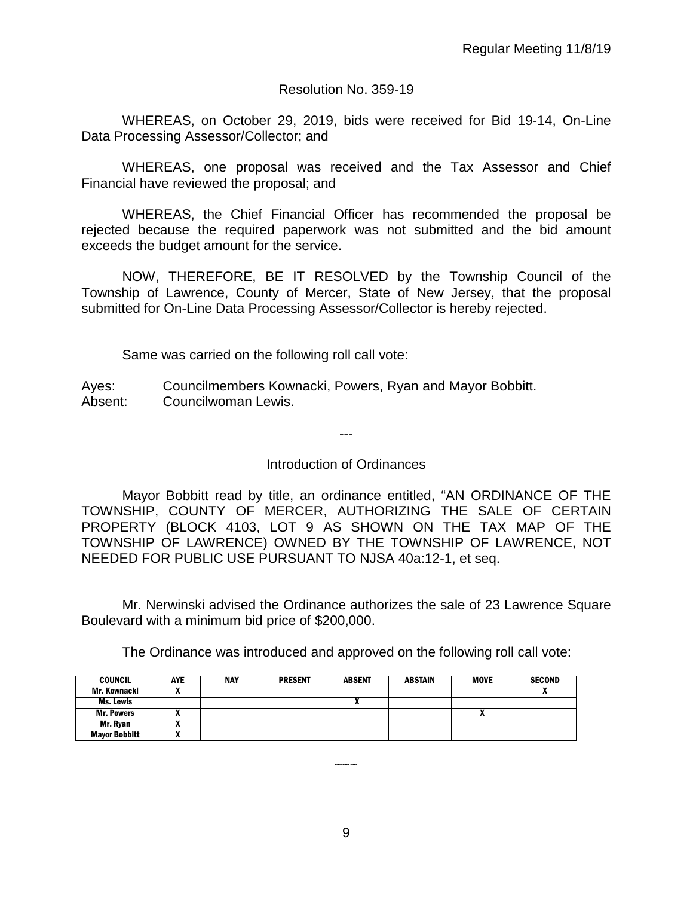# Resolution No. 359-19

WHEREAS, on October 29, 2019, bids were received for Bid 19-14, On-Line Data Processing Assessor/Collector; and

WHEREAS, one proposal was received and the Tax Assessor and Chief Financial have reviewed the proposal; and

WHEREAS, the Chief Financial Officer has recommended the proposal be rejected because the required paperwork was not submitted and the bid amount exceeds the budget amount for the service.

NOW, THEREFORE, BE IT RESOLVED by the Township Council of the Township of Lawrence, County of Mercer, State of New Jersey, that the proposal submitted for On-Line Data Processing Assessor/Collector is hereby rejected.

Same was carried on the following roll call vote:

Ayes: Councilmembers Kownacki, Powers, Ryan and Mayor Bobbitt. Absent: Councilwoman Lewis.

Introduction of Ordinances

---

Mayor Bobbitt read by title, an ordinance entitled, "AN ORDINANCE OF THE TOWNSHIP, COUNTY OF MERCER, AUTHORIZING THE SALE OF CERTAIN PROPERTY (BLOCK 4103, LOT 9 AS SHOWN ON THE TAX MAP OF THE TOWNSHIP OF LAWRENCE) OWNED BY THE TOWNSHIP OF LAWRENCE, NOT NEEDED FOR PUBLIC USE PURSUANT TO NJSA 40a:12-1, et seq.

Mr. Nerwinski advised the Ordinance authorizes the sale of 23 Lawrence Square Boulevard with a minimum bid price of \$200,000.

The Ordinance was introduced and approved on the following roll call vote:

| <b>COUNCIL</b>       | <b>AYE</b> | <b>NAY</b> | <b>PRESENT</b> | <b>ABSENT</b> | <b>ABSTAIN</b> | <b>MOVE</b> | <b>SECOND</b> |
|----------------------|------------|------------|----------------|---------------|----------------|-------------|---------------|
| Mr. Kownacki         |            |            |                |               |                |             |               |
| Ms. Lewis            |            |            |                | ^             |                |             |               |
| <b>Mr. Powers</b>    |            |            |                |               |                |             |               |
| Mr. Ryan             |            |            |                |               |                |             |               |
| <b>Mayor Bobbitt</b> |            |            |                |               |                |             |               |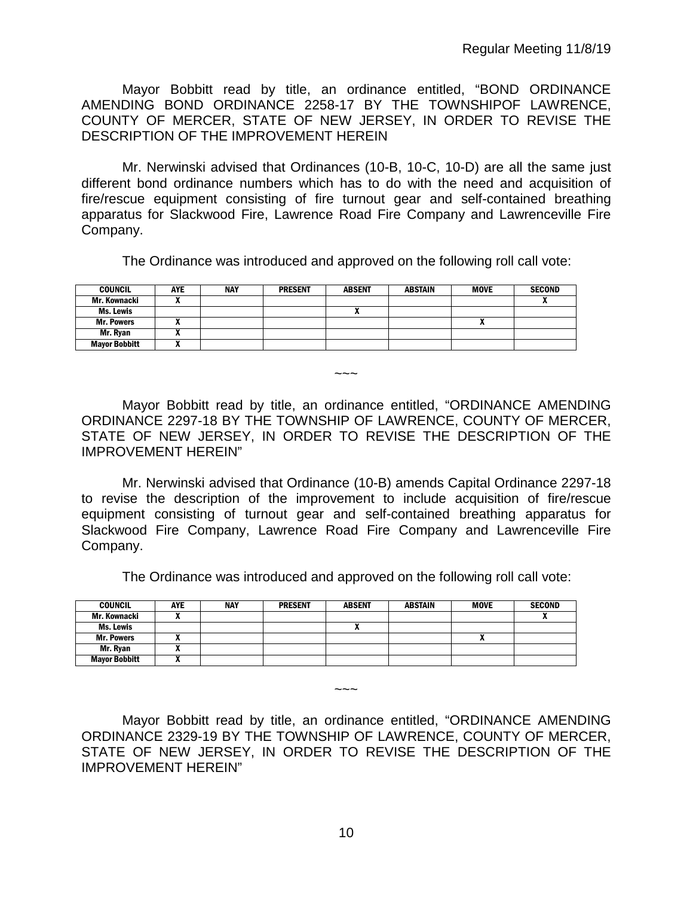Mayor Bobbitt read by title, an ordinance entitled, "BOND ORDINANCE AMENDING BOND ORDINANCE 2258-17 BY THE TOWNSHIPOF LAWRENCE, COUNTY OF MERCER, STATE OF NEW JERSEY, IN ORDER TO REVISE THE DESCRIPTION OF THE IMPROVEMENT HEREIN

Mr. Nerwinski advised that Ordinances (10-B, 10-C, 10-D) are all the same just different bond ordinance numbers which has to do with the need and acquisition of fire/rescue equipment consisting of fire turnout gear and self-contained breathing apparatus for Slackwood Fire, Lawrence Road Fire Company and Lawrenceville Fire Company.

The Ordinance was introduced and approved on the following roll call vote:

| <b>COUNCIL</b>       | <b>AYE</b> | <b>NAY</b> | <b>PRESENT</b> | <b>ABSENT</b> | <b>ABSTAIN</b> | MOVE | <b>SECOND</b> |
|----------------------|------------|------------|----------------|---------------|----------------|------|---------------|
| Mr. Kownacki         |            |            |                |               |                |      | "             |
| Ms. Lewis            |            |            |                | ^             |                |      |               |
| <b>Mr. Powers</b>    |            |            |                |               |                | n    |               |
| Mr. Ryan             |            |            |                |               |                |      |               |
| <b>Mayor Bobbitt</b> |            |            |                |               |                |      |               |

Mayor Bobbitt read by title, an ordinance entitled, "ORDINANCE AMENDING ORDINANCE 2297-18 BY THE TOWNSHIP OF LAWRENCE, COUNTY OF MERCER, STATE OF NEW JERSEY, IN ORDER TO REVISE THE DESCRIPTION OF THE IMPROVEMENT HEREIN"

 $\sim\sim\sim$ 

Mr. Nerwinski advised that Ordinance (10-B) amends Capital Ordinance 2297-18 to revise the description of the improvement to include acquisition of fire/rescue equipment consisting of turnout gear and self-contained breathing apparatus for Slackwood Fire Company, Lawrence Road Fire Company and Lawrenceville Fire Company.

The Ordinance was introduced and approved on the following roll call vote:

| <b>COUNCIL</b>       | <b>AYE</b> | <b>NAY</b> | <b>PRESENT</b> | <b>ABSENT</b> | ABSTAIN | <b>MOVE</b> | <b>SECOND</b> |
|----------------------|------------|------------|----------------|---------------|---------|-------------|---------------|
| Mr. Kownacki         |            |            |                |               |         |             |               |
| Ms. Lewis            |            |            |                |               |         |             |               |
| <b>Mr. Powers</b>    |            |            |                |               |         | "           |               |
| Mr. Ryan             | ,,         |            |                |               |         |             |               |
| <b>Mayor Bobbitt</b> | ,,,        |            |                |               |         |             |               |

Mayor Bobbitt read by title, an ordinance entitled, "ORDINANCE AMENDING ORDINANCE 2329-19 BY THE TOWNSHIP OF LAWRENCE, COUNTY OF MERCER, STATE OF NEW JERSEY, IN ORDER TO REVISE THE DESCRIPTION OF THE IMPROVEMENT HEREIN"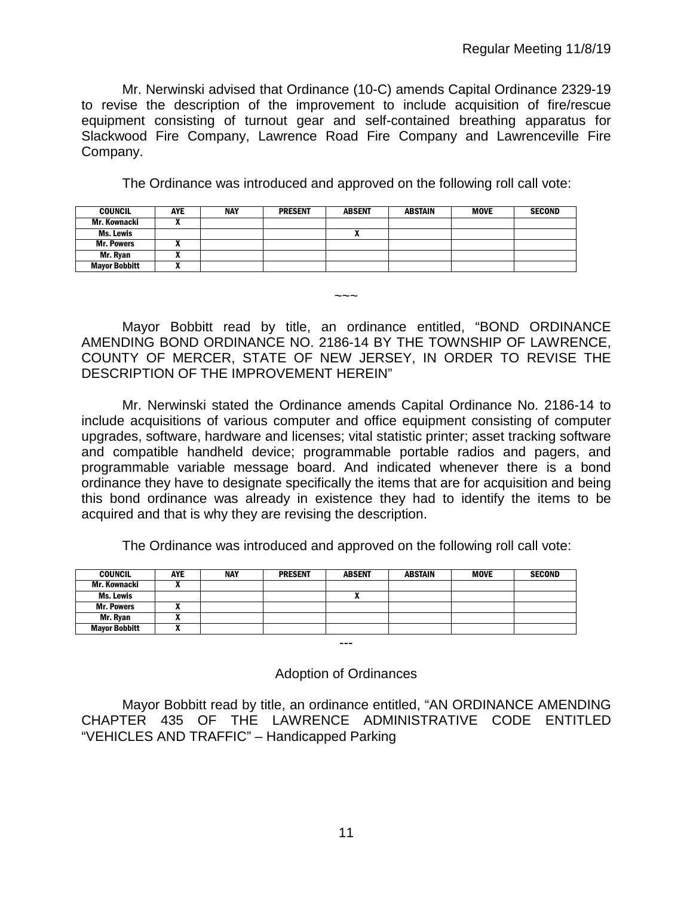Mr. Nerwinski advised that Ordinance (10-C) amends Capital Ordinance 2329-19 to revise the description of the improvement to include acquisition of fire/rescue equipment consisting of turnout gear and self-contained breathing apparatus for Slackwood Fire Company, Lawrence Road Fire Company and Lawrenceville Fire Company.

The Ordinance was introduced and approved on the following roll call vote:

| <b>COUNCIL</b>       | AYE | NAY | <b>PRESENT</b> | <b>ABSENT</b> | <b>ABSTAIN</b> | MOVE | <b>SECOND</b> |
|----------------------|-----|-----|----------------|---------------|----------------|------|---------------|
| Mr. Kownacki         |     |     |                |               |                |      |               |
| Ms. Lewis            |     |     |                |               |                |      |               |
| <b>Mr. Powers</b>    |     |     |                |               |                |      |               |
| Mr. Ryan             |     |     |                |               |                |      |               |
| <b>Mayor Bobbitt</b> |     |     |                |               |                |      |               |

Mayor Bobbitt read by title, an ordinance entitled, "BOND ORDINANCE AMENDING BOND ORDINANCE NO. 2186-14 BY THE TOWNSHIP OF LAWRENCE, COUNTY OF MERCER, STATE OF NEW JERSEY, IN ORDER TO REVISE THE DESCRIPTION OF THE IMPROVEMENT HEREIN"

 $\sim\sim\sim$ 

Mr. Nerwinski stated the Ordinance amends Capital Ordinance No. 2186-14 to include acquisitions of various computer and office equipment consisting of computer upgrades, software, hardware and licenses; vital statistic printer; asset tracking software and compatible handheld device; programmable portable radios and pagers, and programmable variable message board. And indicated whenever there is a bond ordinance they have to designate specifically the items that are for acquisition and being this bond ordinance was already in existence they had to identify the items to be acquired and that is why they are revising the description.

The Ordinance was introduced and approved on the following roll call vote:

| <b>COUNCIL</b>       | <b>AYE</b> | <b>NAY</b> | <b>PRESENT</b> | <b>ABSENT</b> | <b>ABSTAIN</b> | <b>MOVE</b> | <b>SECOND</b> |
|----------------------|------------|------------|----------------|---------------|----------------|-------------|---------------|
| Mr. Kownacki         |            |            |                |               |                |             |               |
| Ms. Lewis            |            |            |                | Δ             |                |             |               |
| <b>Mr. Powers</b>    |            |            |                |               |                |             |               |
| Mr. Ryan             |            |            |                |               |                |             |               |
| <b>Mayor Bobbitt</b> |            |            |                |               |                |             |               |
|                      |            |            |                | $-- -$        |                |             |               |

Adoption of Ordinances

Mayor Bobbitt read by title, an ordinance entitled, "AN ORDINANCE AMENDING CHAPTER 435 OF THE LAWRENCE ADMINISTRATIVE CODE ENTITLED "VEHICLES AND TRAFFIC" – Handicapped Parking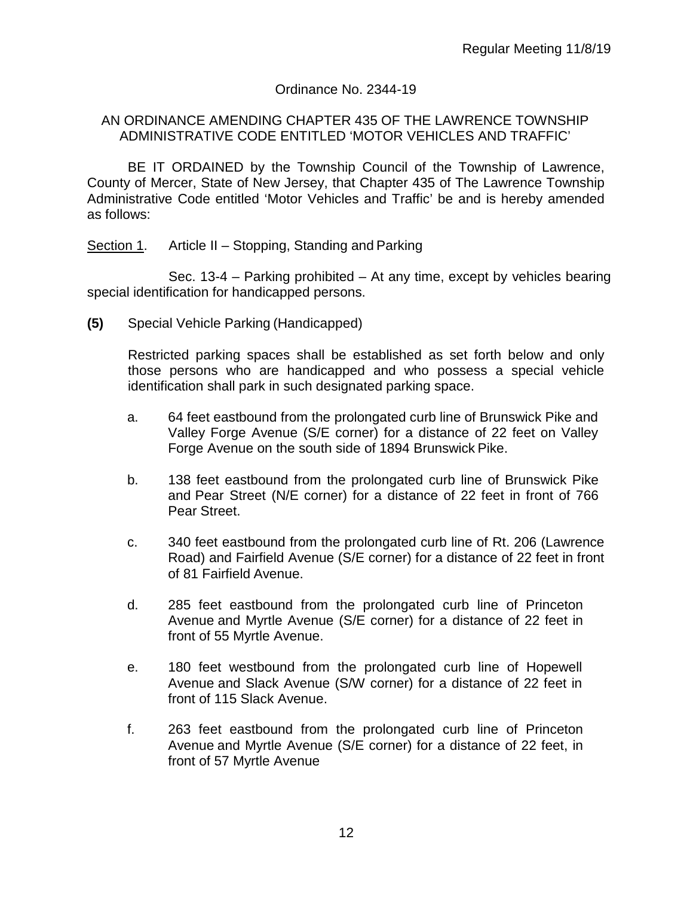# Ordinance No. 2344-19

#### AN ORDINANCE AMENDING CHAPTER 435 OF THE LAWRENCE TOWNSHIP ADMINISTRATIVE CODE ENTITLED 'MOTOR VEHICLES AND TRAFFIC'

BE IT ORDAINED by the Township Council of the Township of Lawrence, County of Mercer, State of New Jersey, that Chapter 435 of The Lawrence Township Administrative Code entitled 'Motor Vehicles and Traffic' be and is hereby amended as follows:

Section 1. Article II – Stopping, Standing and Parking

Sec. 13-4 – Parking prohibited – At any time, except by vehicles bearing special identification for handicapped persons.

**(5)** Special Vehicle Parking (Handicapped)

Restricted parking spaces shall be established as set forth below and only those persons who are handicapped and who possess a special vehicle identification shall park in such designated parking space.

- a. 64 feet eastbound from the prolongated curb line of Brunswick Pike and Valley Forge Avenue (S/E corner) for a distance of 22 feet on Valley Forge Avenue on the south side of 1894 Brunswick Pike.
- b. 138 feet eastbound from the prolongated curb line of Brunswick Pike and Pear Street (N/E corner) for a distance of 22 feet in front of 766 Pear Street.
- c. 340 feet eastbound from the prolongated curb line of Rt. 206 (Lawrence Road) and Fairfield Avenue (S/E corner) for a distance of 22 feet in front of 81 Fairfield Avenue.
- d. 285 feet eastbound from the prolongated curb line of Princeton Avenue and Myrtle Avenue (S/E corner) for a distance of 22 feet in front of 55 Myrtle Avenue.
- e. 180 feet westbound from the prolongated curb line of Hopewell Avenue and Slack Avenue (S/W corner) for a distance of 22 feet in front of 115 Slack Avenue.
- f. 263 feet eastbound from the prolongated curb line of Princeton Avenue and Myrtle Avenue (S/E corner) for a distance of 22 feet, in front of 57 Myrtle Avenue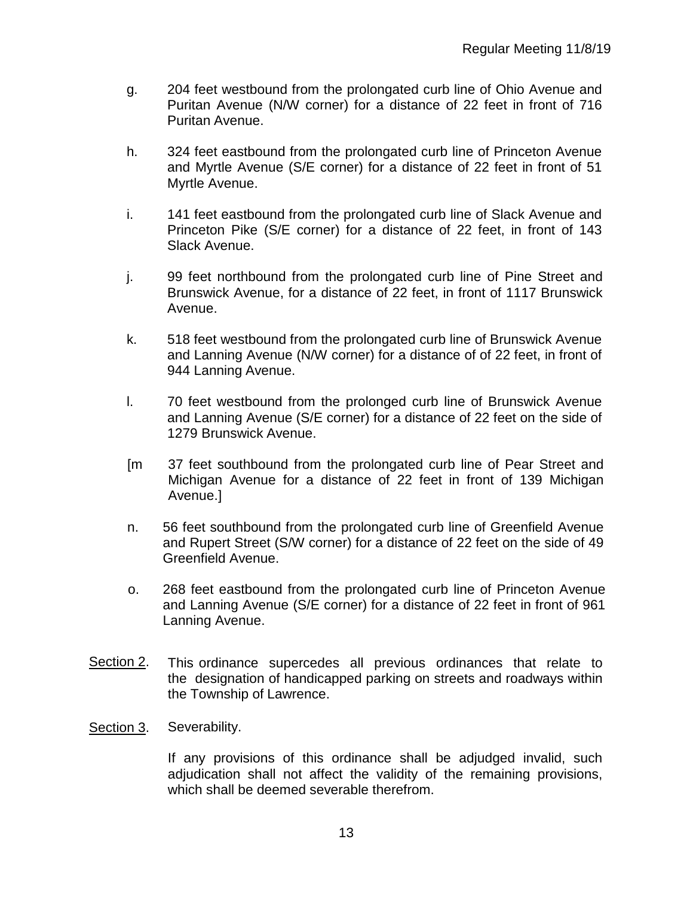- g. 204 feet westbound from the prolongated curb line of Ohio Avenue and Puritan Avenue (N/W corner) for a distance of 22 feet in front of 716 Puritan Avenue.
- h. 324 feet eastbound from the prolongated curb line of Princeton Avenue and Myrtle Avenue (S/E corner) for a distance of 22 feet in front of 51 Myrtle Avenue.
- i. 141 feet eastbound from the prolongated curb line of Slack Avenue and Princeton Pike (S/E corner) for a distance of 22 feet, in front of 143 Slack Avenue.
- j. 99 feet northbound from the prolongated curb line of Pine Street and Brunswick Avenue, for a distance of 22 feet, in front of 1117 Brunswick Avenue.
- k. 518 feet westbound from the prolongated curb line of Brunswick Avenue and Lanning Avenue (N/W corner) for a distance of of 22 feet, in front of 944 Lanning Avenue.
- l. 70 feet westbound from the prolonged curb line of Brunswick Avenue and Lanning Avenue (S/E corner) for a distance of 22 feet on the side of 1279 Brunswick Avenue.
- [m 37 feet southbound from the prolongated curb line of Pear Street and Michigan Avenue for a distance of 22 feet in front of 139 Michigan Avenue.]
- n. 56 feet southbound from the prolongated curb line of Greenfield Avenue and Rupert Street (S/W corner) for a distance of 22 feet on the side of 49 Greenfield Avenue.
- o. 268 feet eastbound from the prolongated curb line of Princeton Avenue and Lanning Avenue (S/E corner) for a distance of 22 feet in front of 961 Lanning Avenue.
- Section 2. This ordinance supercedes all previous ordinances that relate to the designation of handicapped parking on streets and roadways within the Township of Lawrence.
- Section 3. Severability.

If any provisions of this ordinance shall be adjudged invalid, such adjudication shall not affect the validity of the remaining provisions, which shall be deemed severable therefrom.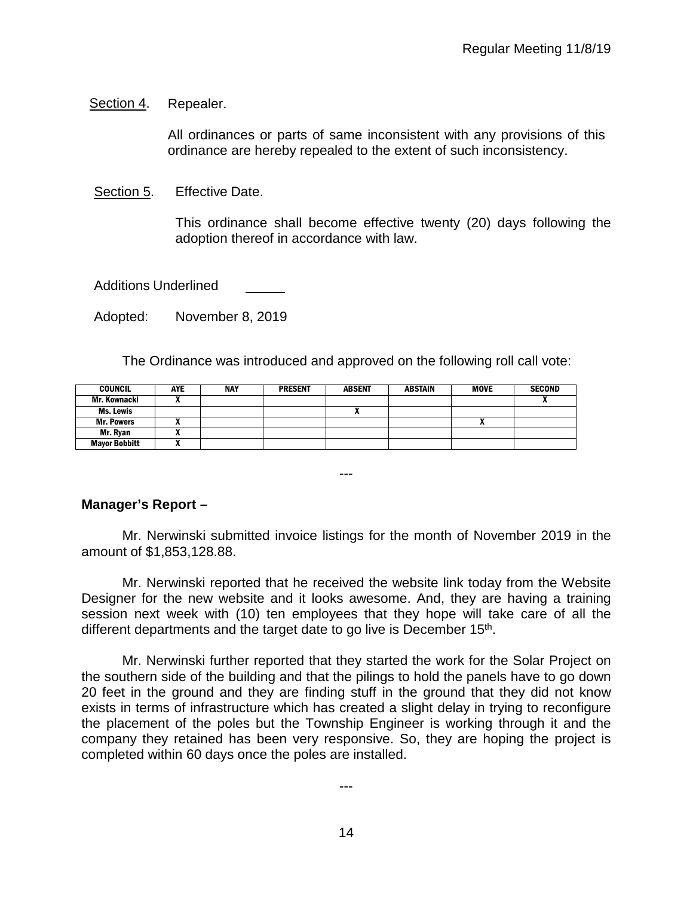Section 4. Repealer.

All ordinances or parts of same inconsistent with any provisions of this ordinance are hereby repealed to the extent of such inconsistency.

Section 5. Effective Date.

This ordinance shall become effective twenty (20) days following the adoption thereof in accordance with law.

Additions Underlined

Adopted: November 8, 2019

The Ordinance was introduced and approved on the following roll call vote:

| <b>COUNCIL</b>       | <b>AYE</b> | <b>NAY</b> | <b>PRESENT</b> | <b>ABSENT</b> | ABSTAIN | <b>MOVE</b> | <b>SECOND</b> |
|----------------------|------------|------------|----------------|---------------|---------|-------------|---------------|
| Mr. Kownacki         |            |            |                |               |         |             |               |
| Ms. Lewis            |            |            |                | ^             |         |             |               |
| <b>Mr. Powers</b>    |            |            |                |               |         |             |               |
| Mr. Rvan             |            |            |                |               |         |             |               |
| <b>Mayor Bobbitt</b> |            |            |                |               |         |             |               |

**Manager's Report –**

Mr. Nerwinski submitted invoice listings for the month of November 2019 in the amount of \$1,853,128.88.

---

Mr. Nerwinski reported that he received the website link today from the Website Designer for the new website and it looks awesome. And, they are having a training session next week with (10) ten employees that they hope will take care of all the different departments and the target date to go live is December 15<sup>th</sup>.

Mr. Nerwinski further reported that they started the work for the Solar Project on the southern side of the building and that the pilings to hold the panels have to go down 20 feet in the ground and they are finding stuff in the ground that they did not know exists in terms of infrastructure which has created a slight delay in trying to reconfigure the placement of the poles but the Township Engineer is working through it and the company they retained has been very responsive. So, they are hoping the project is completed within 60 days once the poles are installed.

---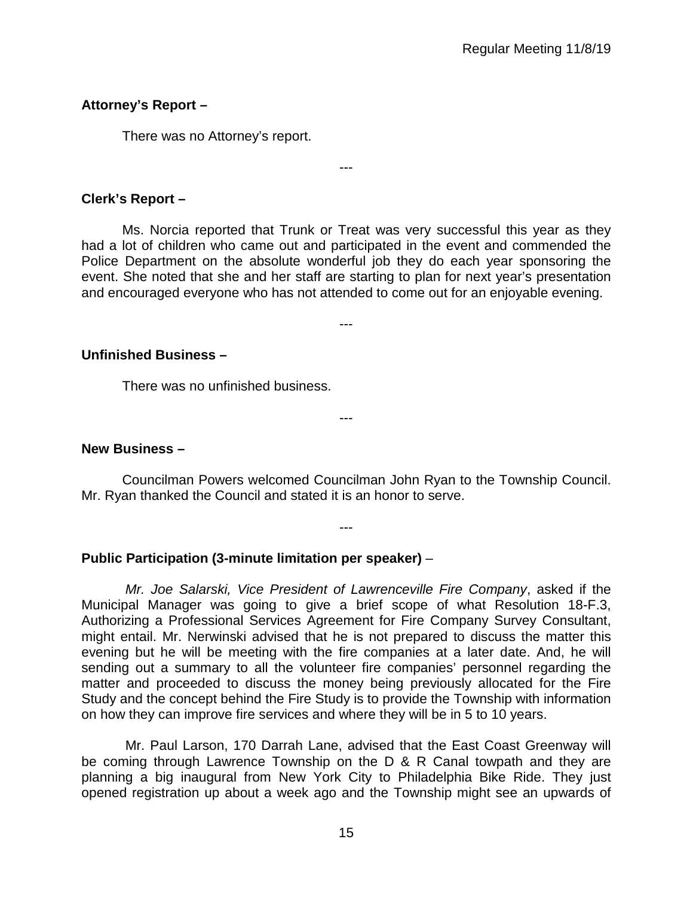# **Attorney's Report –**

There was no Attorney's report.

# **Clerk's Report –**

Ms. Norcia reported that Trunk or Treat was very successful this year as they had a lot of children who came out and participated in the event and commended the Police Department on the absolute wonderful job they do each year sponsoring the event. She noted that she and her staff are starting to plan for next year's presentation and encouraged everyone who has not attended to come out for an enjoyable evening.

---

---

# **Unfinished Business –**

There was no unfinished business.

# **New Business –**

Councilman Powers welcomed Councilman John Ryan to the Township Council. Mr. Ryan thanked the Council and stated it is an honor to serve.

---

---

# **Public Participation (3-minute limitation per speaker)** –

*Mr. Joe Salarski, Vice President of Lawrenceville Fire Company*, asked if the Municipal Manager was going to give a brief scope of what Resolution 18-F.3, Authorizing a Professional Services Agreement for Fire Company Survey Consultant, might entail. Mr. Nerwinski advised that he is not prepared to discuss the matter this evening but he will be meeting with the fire companies at a later date. And, he will sending out a summary to all the volunteer fire companies' personnel regarding the matter and proceeded to discuss the money being previously allocated for the Fire Study and the concept behind the Fire Study is to provide the Township with information on how they can improve fire services and where they will be in 5 to 10 years.

Mr. Paul Larson, 170 Darrah Lane, advised that the East Coast Greenway will be coming through Lawrence Township on the D & R Canal towpath and they are planning a big inaugural from New York City to Philadelphia Bike Ride. They just opened registration up about a week ago and the Township might see an upwards of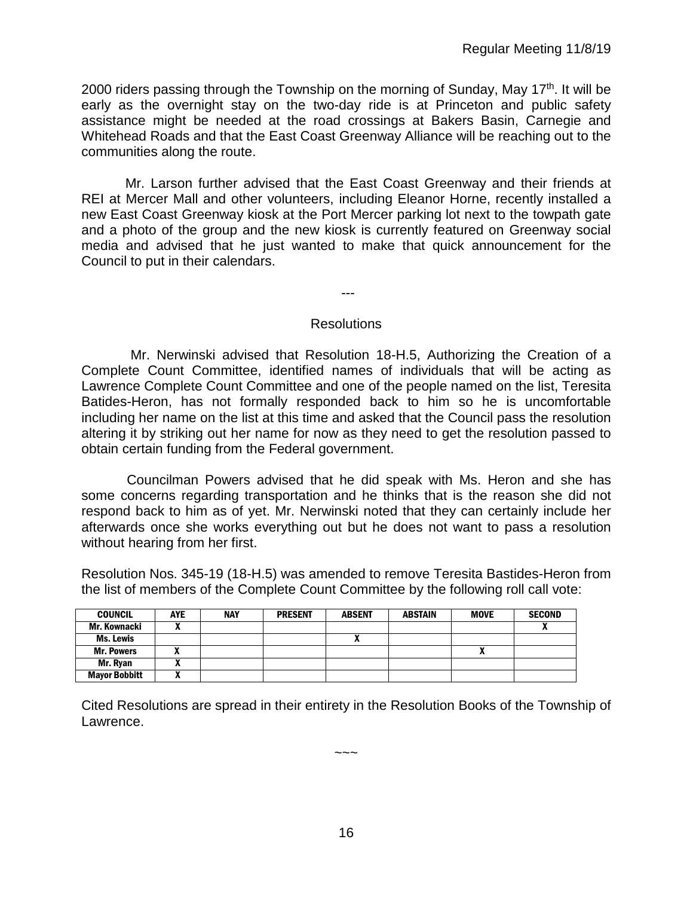2000 riders passing through the Township on the morning of Sunday, May 17<sup>th</sup>. It will be early as the overnight stay on the two-day ride is at Princeton and public safety assistance might be needed at the road crossings at Bakers Basin, Carnegie and Whitehead Roads and that the East Coast Greenway Alliance will be reaching out to the communities along the route.

Mr. Larson further advised that the East Coast Greenway and their friends at REI at Mercer Mall and other volunteers, including Eleanor Horne, recently installed a new East Coast Greenway kiosk at the Port Mercer parking lot next to the towpath gate and a photo of the group and the new kiosk is currently featured on Greenway social media and advised that he just wanted to make that quick announcement for the Council to put in their calendars.

---

#### **Resolutions**

 Mr. Nerwinski advised that Resolution 18-H.5, Authorizing the Creation of a Complete Count Committee, identified names of individuals that will be acting as Lawrence Complete Count Committee and one of the people named on the list, Teresita Batides-Heron, has not formally responded back to him so he is uncomfortable including her name on the list at this time and asked that the Council pass the resolution altering it by striking out her name for now as they need to get the resolution passed to obtain certain funding from the Federal government.

 Councilman Powers advised that he did speak with Ms. Heron and she has some concerns regarding transportation and he thinks that is the reason she did not respond back to him as of yet. Mr. Nerwinski noted that they can certainly include her afterwards once she works everything out but he does not want to pass a resolution without hearing from her first.

Resolution Nos. 345-19 (18-H.5) was amended to remove Teresita Bastides-Heron from the list of members of the Complete Count Committee by the following roll call vote:

| <b>COUNCIL</b>       | <b>AYE</b> | <b>NAY</b> | <b>PRESENT</b> | <b>ABSENT</b> | <b>ABSTAIN</b> | <b>MOVE</b> | <b>SECOND</b> |
|----------------------|------------|------------|----------------|---------------|----------------|-------------|---------------|
| Mr. Kownacki         |            |            |                |               |                |             |               |
| <b>Ms. Lewis</b>     |            |            |                |               |                |             |               |
| <b>Mr. Powers</b>    |            |            |                |               |                | Λ           |               |
| Mr. Ryan             | n          |            |                |               |                |             |               |
| <b>Mayor Bobbitt</b> |            |            |                |               |                |             |               |

Cited Resolutions are spread in their entirety in the Resolution Books of the Township of Lawrence.